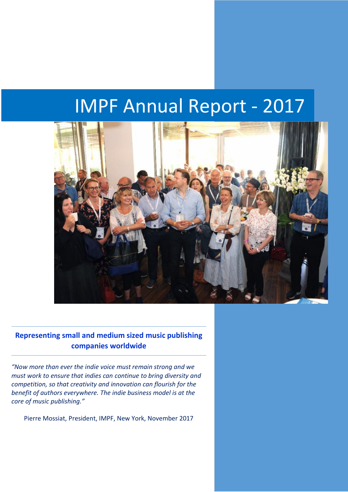# IMPF Annual Report - 2017



**Representing small and medium sized music publishing companies worldwide**

*"Now more than ever the indie voice must remain strong and we must work to ensure that indies can continue to bring diversity and competition, so that creativity and innovation can flourish for the benefit of authors everywhere. The indie business model is at the core of music publishing."*

Pierre Mossiat, President, IMPF, New York, November 2017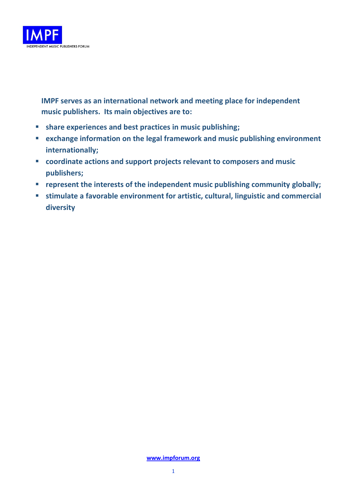

**IMPF serves as an international network and meeting place for independent music publishers. Its main objectives are to:**

- **share experiences and best practices in music publishing;**
- **exchange information on the legal framework and music publishing environment internationally;**
- **coordinate actions and support projects relevant to composers and music publishers;**
- **represent the interests of the independent music publishing community globally;**
- stimulate a favorable environment for artistic, cultural, linguistic and commercial **diversity**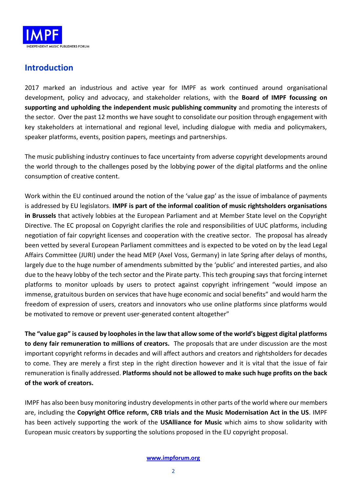

# **Introduction**

2017 marked an industrious and active year for IMPF as work continued around organisational development, policy and advocacy, and stakeholder relations, with the **Board of IMPF focussing on supporting and upholding the independent music publishing community** and promoting the interests of the sector. Over the past 12 months we have sought to consolidate our position through engagement with key stakeholders at international and regional level, including dialogue with media and policymakers, speaker platforms, events, position papers, meetings and partnerships.

The music publishing industry continues to face uncertainty from adverse copyright developments around the world through to the challenges posed by the lobbying power of the digital platforms and the online consumption of creative content.

Work within the EU continued around the notion of the 'value gap' as the issue of imbalance of payments is addressed by EU legislators. **IMPF is part of the informal coalition of music rightsholders organisations in Brussels** that actively lobbies at the European Parliament and at Member State level on the Copyright Directive. The EC proposal on Copyright clarifies the role and responsibilities of UUC platforms, including negotiation of fair copyright licenses and cooperation with the creative sector. The proposal has already been vetted by several European Parliament committees and is expected to be voted on by the lead Legal Affairs Committee (JURI) under the head MEP (Axel Voss, Germany) in late Spring after delays of months, largely due to the huge number of amendments submitted by the 'public' and interested parties, and also due to the heavy lobby of the tech sector and the Pirate party. This tech grouping says that forcing internet platforms to monitor uploads by users to protect against copyright infringement "would impose an immense, gratuitous burden on services that have huge economic and social benefits" and would harm the freedom of expression of users, creators and innovators who use online platforms since platforms would be motivated to remove or prevent user-generated content altogether"

**The "value gap" is caused by loopholes in the law that allow some of the world's biggest digital platforms to deny fair remuneration to millions of creators.** The proposals that are under discussion are the most important copyright reforms in decades and will affect authors and creators and rightsholders for decades to come. They are merely a first step in the right direction however and it is vital that the issue of fair remuneration is finally addressed. **Platforms should not be allowed to make such huge profits on the back of the work of creators.**

IMPF has also been busy monitoring industry developments in other parts of the world where our members are, including the **Copyright Office reform, CRB trials and the Music Modernisation Act in the US**. IMPF has been actively supporting the work of the **USAlliance for Music** which aims to show solidarity with European music creators by supporting the solutions proposed in the EU copyright proposal.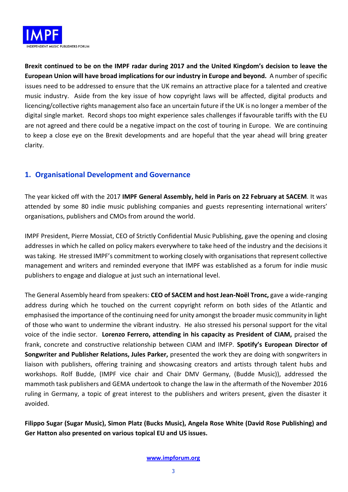

**Brexit continued to be on the IMPF radar during 2017 and the United Kingdom's decision to leave the European Union will have broad implications for our industry in Europe and beyond.** A number of specific issues need to be addressed to ensure that the UK remains an attractive place for a talented and creative music industry. Aside from the key issue of how copyright laws will be affected, digital products and licencing/collective rights management also face an uncertain future if the UK is no longer a member of the digital single market. Record shops too might experience sales challenges if favourable tariffs with the EU are not agreed and there could be a negative impact on the cost of touring in Europe. We are continuing to keep a close eye on the Brexit developments and are hopeful that the year ahead will bring greater clarity.

# **1. Organisational Development and Governance**

The year kicked off with the 2017 **IMPF General Assembly, held in Paris on 22 February at SACEM**. It was attended by some 80 indie music publishing companies and guests representing international writers' organisations, publishers and CMOs from around the world.

IMPF President, Pierre Mossiat, CEO of Strictly Confidential Music Publishing, gave the opening and closing addresses in which he called on policy makers everywhere to take heed of the industry and the decisions it was taking. He stressed IMPF's commitment to working closely with organisations that represent collective management and writers and reminded everyone that IMPF was established as a forum for indie music publishers to engage and dialogue at just such an international level.

The General Assembly heard from speakers: **CEO of SACEM and host Jean-Noël Tronc,** gave a wide-ranging address during which he touched on the current copyright reform on both sides of the Atlantic and emphasised the importance of the continuing need for unity amongst the broader music community in light of those who want to undermine the vibrant industry. He also stressed his personal support for the vital voice of the indie sector. **Lorenzo Ferrero, attending in his capacity as President of CIAM,** praised the frank, concrete and constructive relationship between CIAM and IMFP. **Spotify's European Director of Songwriter and Publisher Relations, Jules Parker,** presented the work they are doing with songwriters in liaison with publishers, offering training and showcasing creators and artists through talent hubs and workshops. Rolf Budde, (IMPF vice chair and Chair DMV Germany, (Budde Music)), addressed the mammoth task publishers and GEMA undertook to change the law in the aftermath of the November 2016 ruling in Germany, a topic of great interest to the publishers and writers present, given the disaster it avoided.

**Filippo Sugar (Sugar Music), Simon Platz (Bucks Music), Angela Rose White (David Rose Publishing) and Ger Hatton also presented on various topical EU and US issues.**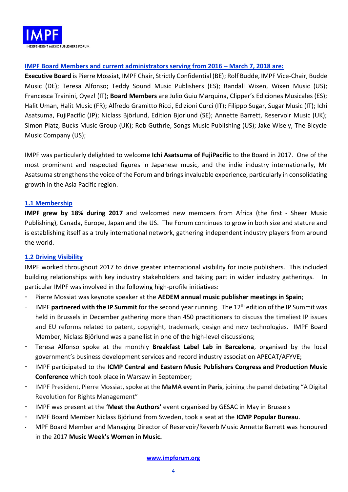

# **IMPF Board Members and current administrators serving from 2016 – March 7, 2018 are:**

**Executive Board** is Pierre Mossiat, IMPF Chair, Strictly Confidential (BE); Rolf Budde, IMPF Vice-Chair, Budde Music (DE); Teresa Alfonso; Teddy Sound Music Publishers (ES); Randall Wixen, Wixen Music (US); Francesca Trainini, Oyez! (IT); **Board Members** are Julio Guiu Marquina, Clipper's Ediciones Musicales (ES); Halit Uman, Halit Music (FR); Alfredo Gramitto Ricci, Edizioni Curci (IT); Filippo Sugar, Sugar Music (IT); Ichi Asatsuma, FujiPacific (JP); Niclass Björlund, Edition Bjorlund (SE); Annette Barrett, Reservoir Music (UK); Simon Platz, Bucks Music Group (UK); Rob Guthrie, Songs Music Publishing (US); Jake Wisely, The Bicycle Music Company (US);

IMPF was particularly delighted to welcome **Ichi Asatsuma of FujiPacific** to the Board in 2017. One of the most prominent and respected figures in Japanese music, and the indie industry internationally, Mr Asatsuma strengthens the voice of the Forum and brings invaluable experience, particularly in consolidating growth in the Asia Pacific region.

### **1.1 Membership**

**IMPF grew by 18% during 2017** and welcomed new members from Africa (the first - Sheer Music Publishing), Canada, Europe, Japan and the US. The Forum continues to grow in both size and stature and is establishing itself as a truly international network, gathering independent industry players from around the world.

# **1.2 Driving Visibility**

IMPF worked throughout 2017 to drive greater international visibility for indie publishers. This included building relationships with key industry stakeholders and taking part in wider industry gatherings. In particular IMPF was involved in the following high-profile initiatives:

- Pierre Mossiat was keynote speaker at the **AEDEM annual music publisher meetings in Spain**;
- IMPF partnered with the IP Summit for the second year running. The 12<sup>th</sup> edition of the IP Summit was held in Brussels in December gathering more than 450 practitioners to discuss the timeliest IP issues and EU reforms related to patent, copyright, trademark, design and new technologies. IMPF Board Member, Niclass Björlund was a panellist in one of the high-level discussions;
- Teresa Alfonso spoke at the monthly **Breakfast Label Lab in Barcelona**, organised by the local government's business development services and record industry association APECAT/AFYVE;
- IMPF participated to the **ICMP Central and Eastern Music Publishers Congress and Production Music Conference** which took place in Warsaw in September;
- IMPF President, Pierre Mossiat, spoke at the **MaMA event in Paris**, joining the panel debating "A Digital Revolution for Rights Management"
- IMPF was present at the **'Meet the Authors'** event organised by GESAC in May in Brussels
- IMPF Board Member Niclass Björlund from Sweden, took a seat at the **ICMP Popular Bureau**.
- MPF Board Member and Managing Director of Reservoir/Reverb Music Annette Barrett was honoured in the 2017 **Music Week's Women in Music.**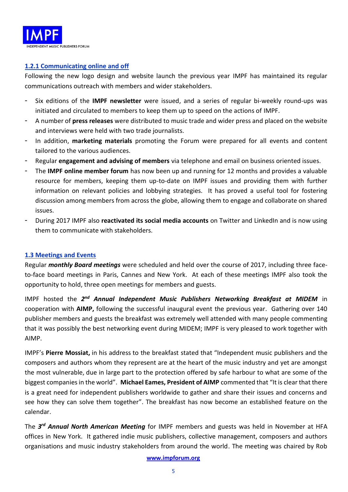

# **1.2.1 Communicating online and off**

Following the new logo design and website launch the previous year IMPF has maintained its regular communications outreach with members and wider stakeholders.

- Six editions of the **IMPF newsletter** were issued, and a series of regular bi-weekly round-ups was initiated and circulated to members to keep them up to speed on the actions of IMPF.
- A number of **press releases** were distributed to music trade and wider press and placed on the website and interviews were held with two trade journalists.
- In addition, **marketing materials** promoting the Forum were prepared for all events and content tailored to the various audiences.
- Regular **engagement and advising of members** via telephone and email on business oriented issues.
- The **IMPF online member forum** has now been up and running for 12 months and provides a valuable resource for members, keeping them up-to-date on IMPF issues and providing them with further information on relevant policies and lobbying strategies. It has proved a useful tool for fostering discussion among members from across the globe, allowing them to engage and collaborate on shared issues.
- During 2017 IMPF also **reactivated its social media accounts** on Twitter and LinkedIn and is now using them to communicate with stakeholders.

# **1.3 Meetings and Events**

Regular *monthly Board meetings* were scheduled and held over the course of 2017, including three faceto-face board meetings in Paris, Cannes and New York. At each of these meetings IMPF also took the opportunity to hold, three open meetings for members and guests.

IMPF hosted the 2<sup>nd</sup> Annual Independent Music Publishers Networking Breakfast at MIDEM in cooperation with **AIMP,** following the successful inaugural event the previous year. Gathering over 140 publisher members and guests the breakfast was extremely well attended with many people commenting that it was possibly the best networking event during MIDEM; IMPF is very pleased to work together with AIMP.

IMPF's **Pierre Mossiat,** in his address to the breakfast stated that "Independent music publishers and the composers and authors whom they represent are at the heart of the music industry and yet are amongst the most vulnerable, due in large part to the protection offered by safe harbour to what are some of the biggest companies in the world". **Michael Eames, President of AIMP** commented that "It is clear that there is a great need for independent publishers worldwide to gather and share their issues and concerns and see how they can solve them together". The breakfast has now become an established feature on the calendar.

The *3 rd Annual North American Meeting* for IMPF members and guests was held in November at HFA offices in New York. It gathered indie music publishers, collective management, composers and authors organisations and music industry stakeholders from around the world. The meeting was chaired by Rob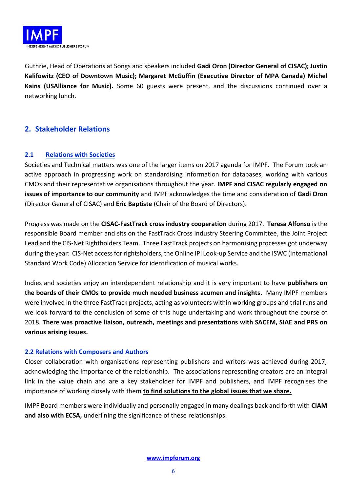

Guthrie, Head of Operations at Songs and speakers included **Gadi Oron (Director General of CISAC); Justin Kalifowitz (CEO of Downtown Music); Margaret McGuffin (Executive Director of MPA Canada) Michel Kains (USAlliance for Music).** Some 60 guests were present, and the discussions continued over a networking lunch.

# **2. Stakeholder Relations**

# **2.1 Relations with Societies**

Societies and Technical matters was one of the larger items on 2017 agenda for IMPF. The Forum took an active approach in progressing work on standardising information for databases, working with various CMOs and their representative organisations throughout the year. **IMPF and CISAC regularly engaged on issues of importance to our community** and IMPF acknowledges the time and consideration of **Gadi Oron** (Director General of CISAC) and **Eric Baptiste** (Chair of the Board of Directors).

Progress was made on the **CISAC-FastTrack cross industry cooperation** during 2017. **Teresa Alfonso** is the responsible Board member and sits on the FastTrack Cross Industry Steering Committee, the Joint Project Lead and the CIS-Net Rightholders Team. Three FastTrack projects on harmonising processes got underway during the year: CIS-Net access for rightsholders, the Online IPI Look-up Service and the ISWC (International Standard Work Code) Allocation Service for identification of musical works.

Indies and societies enjoy an interdependent relationship and it is very important to have **publishers on the boards of their CMOs to provide much needed business acumen and insights.** Many IMPF members were involved in the three FastTrack projects, acting as volunteers within working groups and trial runs and we look forward to the conclusion of some of this huge undertaking and work throughout the course of 2018. **There was proactive liaison, outreach, meetings and presentations with SACEM, SIAE and PRS on various arising issues.**

# **2.2 Relations with Composers and Authors**

Closer collaboration with organisations representing publishers and writers was achieved during 2017, acknowledging the importance of the relationship. The associations representing creators are an integral link in the value chain and are a key stakeholder for IMPF and publishers, and IMPF recognises the importance of working closely with them **to find solutions to the global issues that we share.**

IMPF Board members were individually and personally engaged in many dealings back and forth with **CIAM and also with ECSA,** underlining the significance of these relationships.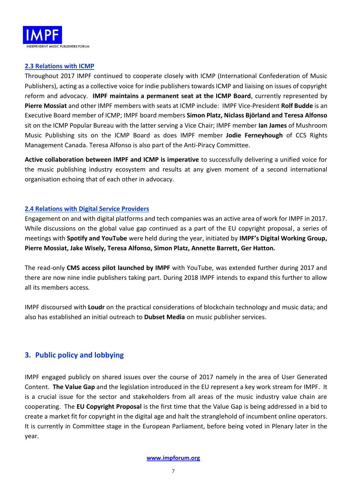

### **2.3 Relations with ICMP**

Throughout 2017 IMPF continued to cooperate closely with ICMP (International Confederation of Music Publishers), acting as a collective voice for indie publishers towards ICMP and liaising on issues of copyright reform and advocacy. **IMPF maintains a permanent seat at the ICMP Board**, currently represented by **Pierre Mossiat** and other IMPF members with seats at ICMP include: IMPF Vice-President **Rolf Budde** is an Executive Board member of ICMP; IMPF board members **Simon Platz, Niclass Björland and Teresa Alfonso** sit on the ICMP Popular Bureau with the latter serving a Vice Chair; IMPF member **Ian James** of Mushroom Music Publishing sits on the ICMP Board as does IMPF member **Jodie Ferneyhough** of CCS Rights Management Canada. Teresa Alfonso is also part of the Anti-Piracy Committee.

**Active collaboration between IMPF and ICMP is imperative** to successfully delivering a unified voice for the music publishing industry ecosystem and results at any given moment of a second international organisation echoing that of each other in advocacy.

### **2.4 Relations with Digital Service Providers**

Engagement on and with digital platforms and tech companies was an active area of work for IMPF in 2017. While discussions on the global value gap continued as a part of the EU copyright proposal, a series of meetings with **Spotify and YouTube** were held during the year, initiated by **IMPF's Digital Working Group, Pierre Mossiat, Jake Wisely, Teresa Alfonso, Simon Platz, Annette Barrett, Ger Hatton.** 

The read-only **CMS access pilot launched by IMPF** with YouTube, was extended further during 2017 and there are now nine indie publishers taking part. During 2018 IMPF intends to expand this further to allow all its members access.

IMPF discoursed with **Loudr** on the practical considerations of blockchain technology and music data; and also has established an initial outreach to **Dubset Media** on music publisher services.

# **3. Public policy and lobbying**

IMPF engaged publicly on shared issues over the course of 2017 namely in the area of User Generated Content. **The Value Gap** and the legislation introduced in the EU represent a key work stream for IMPF. It is a crucial issue for the sector and stakeholders from all areas of the music industry value chain are cooperating. The **EU Copyright Proposal** is the first time that the Value Gap is being addressed in a bid to create a market fit for copyright in the digital age and halt the stranglehold of incumbent online operators. It is currently in Committee stage in the European Parliament, before being voted in Plenary later in the year.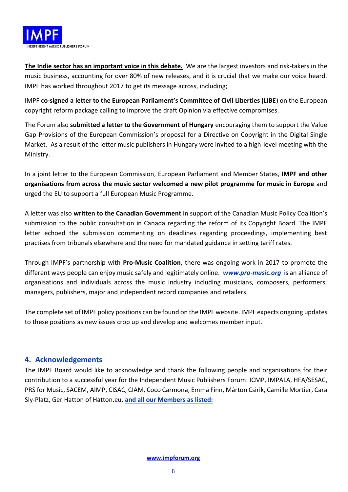

**The Indie sector has an important voice in this debate.** We are the largest investors and risk-takers in the music business, accounting for over 80% of new releases, and it is crucial that we make our voice heard. IMPF has worked throughout 2017 to get its message across, including;

IMPF **co-signed a letter to the European Parliament's Committee of Civil Liberties (LIBE**) on the European copyright reform package calling to improve the draft Opinion via effective compromises.

The Forum also **submitted a letter to the Government of Hungary** encouraging them to support the Value Gap Provisions of the European Commission's proposal for a Directive on Copyright in the Digital Single Market. As a result of the letter music publishers in Hungary were invited to a high-level meeting with the Ministry.

In a joint letter to the European Commission, European Parliament and Member States, **IMPF and other organisations from across the music sector welcomed a new pilot programme for music in Europe** and urged the EU to support a full European Music Programme.

A letter was also **written to the Canadian Government** in support of the Canadian Music Policy Coalition's submission to the public consultation in Canada regarding the reform of its Copyright Board. The IMPF letter echoed the submission commenting on deadlines regarding proceedings, implementing best practises from tribunals elsewhere and the need for mandated guidance in setting tariff rates.

Through IMPF's partnership with **Pro-Music Coalition**, there was ongoing work in 2017 to promote the different ways people can enjoy music safely and legitimately online. *[www.pro-music.org](http://www.pro-music.org/)* is an alliance of organisations and individuals across the music industry including musicians, composers, performers, managers, publishers, major and independent record companies and retailers.

The complete set of IMPF policy positions can be found on the IMPF website. IMPF expects ongoing updates to these positions as new issues crop up and develop and welcomes member input.

# **4. Acknowledgements**

The IMPF Board would like to acknowledge and thank the following people and organisations for their contribution to a successful year for the Independent Music Publishers Forum: ICMP, IMPALA, HFA/SESAC, PRS for Music, SACEM, AIMP, CISAC, CIAM, Coco Carmona, Emma Finn, Márton Csirik, Camille Mortier, Cara Sly-Platz, Ger Hatton of Hatton.eu, **and all our Members as listed:**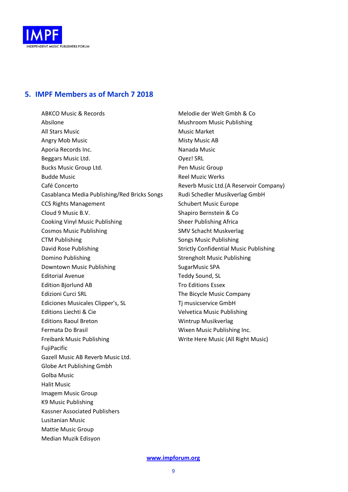

# **5. IMPF Members as of March 7 2018**

ABKCO Music & Records Absilone All Stars Music Angry Mob Music Aporia Records Inc. Beggars Music Ltd. Bucks Music Group Ltd. Budde Music Café Concerto Casablanca Media Publishing/Red Bricks Songs CCS Rights Management Cloud 9 Music B.V. Cooking Vinyl Music Publishing Cosmos Music Publishing CTM Publishing David Rose Publishing Domino Publishing Downtown Music Publishing Editorial Avenue Edition Bjorlund AB Edizioni Curci SRL Ediciones Musicales Clipper's, SL Editions Liechti & Cie Editions Raoul Breton Fermata Do Brasil Freibank Music Publishing FujiPacific Gazell Music AB Reverb Music Ltd. Globe Art Publishing Gmbh Golba Music Halit Music Imagem Music Group K9 Music Publishing Kassner Associated Publishers Lusitanian Music Mattie Music Group Median Muzik Edisyon

Melodie der Welt Gmbh & Co Mushroom Music Publishing Music Market Misty Music AB Nanada Music Oyez! SRL Pen Music Group Reel Muzic Werks Reverb Music Ltd.(A Reservoir Company) Rudi Schedler Musikverlag GmbH Schubert Music Europe Shapiro Bernstein & Co Sheer Publishing Africa SMV Schacht Muskverlag Songs Music Publishing Strictly Confidential Music Publishing Strengholt Music Publishing SugarMusic SPA Teddy Sound, SL Tro Editions Essex The Bicycle Music Company Tj musicservice GmbH Velvetica Music Publishing Wintrup Musikverlag Wixen Music Publishing Inc. Write Here Music (All Right Music)